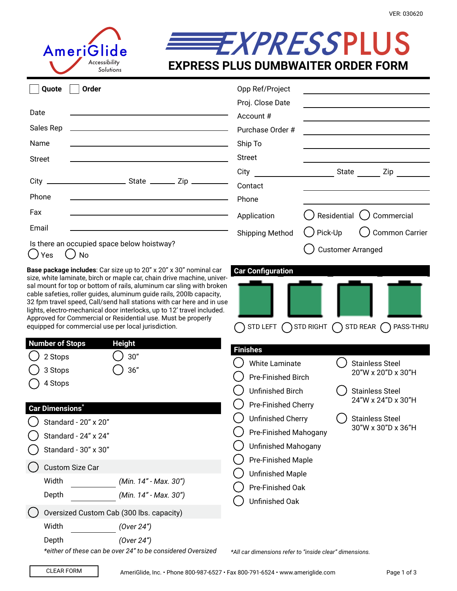

## **EXPRESSPLUS EXPRESS PLUS DUMBWAITER ORDER FORM**

| Ounte | ()rde |
|-------|-------|

| Quote<br>Order                                                                                                                                                                                                                                                                                                                                                                                                                                 | Opp Ref/Project          |                                                                                           |
|------------------------------------------------------------------------------------------------------------------------------------------------------------------------------------------------------------------------------------------------------------------------------------------------------------------------------------------------------------------------------------------------------------------------------------------------|--------------------------|-------------------------------------------------------------------------------------------|
|                                                                                                                                                                                                                                                                                                                                                                                                                                                | Proj. Close Date         |                                                                                           |
| Date                                                                                                                                                                                                                                                                                                                                                                                                                                           | Account #                | the control of the control of the control of the control of the control of the control of |
| Sales Rep                                                                                                                                                                                                                                                                                                                                                                                                                                      | Purchase Order #         |                                                                                           |
| Name                                                                                                                                                                                                                                                                                                                                                                                                                                           | Ship To                  |                                                                                           |
| Street                                                                                                                                                                                                                                                                                                                                                                                                                                         | <b>Street</b>            |                                                                                           |
|                                                                                                                                                                                                                                                                                                                                                                                                                                                | City                     | State<br>Zip                                                                              |
| City                                                                                                                                                                                                                                                                                                                                                                                                                                           | Contact                  |                                                                                           |
| Phone                                                                                                                                                                                                                                                                                                                                                                                                                                          | Phone                    |                                                                                           |
| Fax<br>the control of the control of the control of the control of the control of the control of the control of the control of the control of the control of the control of the control of the control of the control of the control                                                                                                                                                                                                           | Application              | $\Box$ ) Residential $\bigcup$ Commercial                                                 |
| Email                                                                                                                                                                                                                                                                                                                                                                                                                                          | Shipping Method          | ( ) Pick-Up<br><b>Common Carrier</b>                                                      |
| Is there an occupied space below hoistway?<br>( ) Yes<br>$()$ No                                                                                                                                                                                                                                                                                                                                                                               |                          | <b>Customer Arranged</b>                                                                  |
| Base package includes: Car size up to 20" x 20" x 30" nominal car<br>size, white laminate, birch or maple car, chain drive machine, univer-<br>sal mount for top or bottom of rails, aluminum car sling with broken<br>cable safeties, roller guides, aluminum guide rails, 200lb capacity,<br>32 fpm travel speed, Call/send hall stations with car here and in use<br>lights, electro-mechanical door interlocks, up to 12' travel included. | <b>Car Configuration</b> |                                                                                           |

Approved for Commercial or Residential use. Must be properly equipped for commercial use per local jurisdiction.

| <b>Number of Stops</b>                                                                                                                                                   | <b>Height</b>                                                                  |                                                                                                                                                                                                                                        |                                                                                                                                              |  |  |
|--------------------------------------------------------------------------------------------------------------------------------------------------------------------------|--------------------------------------------------------------------------------|----------------------------------------------------------------------------------------------------------------------------------------------------------------------------------------------------------------------------------------|----------------------------------------------------------------------------------------------------------------------------------------------|--|--|
| 30"<br>2 Stops<br>36"<br>3 Stops<br>4 Stops<br><b>Car Dimensions</b> *<br>Standard - 20" x 20"<br>Standard - 24" x 24"<br>Standard - 30" x 30"<br><b>Custom Size Car</b> |                                                                                | <b>Finishes</b><br><b>White Laminate</b><br>Pre-Finished Birch<br>Unfinished Birch<br>Pre-Finished Cherry<br>Unfinished Cherry<br>Pre-Finished Mahogany<br><b>Unfinished Mahogany</b><br>Pre-Finished Maple<br><b>Unfinished Maple</b> | <b>Stainless Steel</b><br>20"W x 20"D x 30"H<br><b>Stainless Steel</b><br>24"W x 24"D x 30"H<br><b>Stainless Steel</b><br>30"W x 30"D x 36"H |  |  |
| Width<br>Depth                                                                                                                                                           | (Min. 14" - Max. 30")<br>(Min. 14" - Max. 30")                                 | Pre-Finished Oak                                                                                                                                                                                                                       |                                                                                                                                              |  |  |
| Oversized Custom Cab (300 lbs. capacity)<br>Width                                                                                                                        | (Over 24")                                                                     | Unfinished Oak                                                                                                                                                                                                                         |                                                                                                                                              |  |  |
| Depth                                                                                                                                                                    | (Over 24")<br>$*$ oither of these son he susr $24"$ to be considered Oversized |                                                                                                                                                                                                                                        |                                                                                                                                              |  |  |

*\*either of these can be over 24" to be considered Oversized*

*\*All car dimensions refer to "inside clear" dimensions.* 

 $\bigcirc$  std left  $\bigcirc$  std right  $\bigcirc$  std rear  $\bigcirc$  pass-thru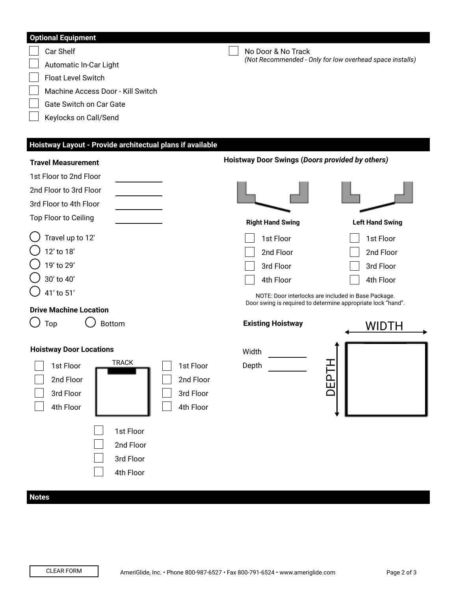| <b>Optional Equipment</b>                                               |                                                              |                        |  |
|-------------------------------------------------------------------------|--------------------------------------------------------------|------------------------|--|
| Car Shelf                                                               | No Door & No Track                                           |                        |  |
| Automatic In-Car Light                                                  | (Not Recommended - Only for low overhead space installs)     |                        |  |
| Float Level Switch                                                      |                                                              |                        |  |
| Machine Access Door - Kill Switch                                       |                                                              |                        |  |
| Gate Switch on Car Gate                                                 |                                                              |                        |  |
| Keylocks on Call/Send                                                   |                                                              |                        |  |
|                                                                         |                                                              |                        |  |
| Hoistway Layout - Provide architectual plans if available               |                                                              |                        |  |
| <b>Travel Measurement</b>                                               | Hoistway Door Swings (Doors provided by others)              |                        |  |
| 1st Floor to 2nd Floor                                                  |                                                              |                        |  |
| 2nd Floor to 3rd Floor                                                  |                                                              |                        |  |
| 3rd Floor to 4th Floor                                                  |                                                              |                        |  |
| Top Floor to Ceiling                                                    | <b>Right Hand Swing</b>                                      | <b>Left Hand Swing</b> |  |
| Travel up to 12'                                                        | 1st Floor                                                    | 1st Floor              |  |
| 12' to 18'                                                              | 2nd Floor                                                    | 2nd Floor              |  |
| 19' to 29'                                                              | 3rd Floor                                                    | 3rd Floor              |  |
| 30' to 40'                                                              | 4th Floor                                                    | 4th Floor              |  |
| 41' to 51'                                                              | NOTE: Door interlocks are included in Base Package.          |                        |  |
| <b>Drive Machine Location</b>                                           | Door swing is required to determine appropriate lock "hand". |                        |  |
| <b>Bottom</b><br>Top                                                    | <b>Existing Hoistway</b>                                     | WIDTH                  |  |
| <b>Hoistway Door Locations</b>                                          | Width                                                        |                        |  |
| <b>TRACK</b><br>─<br>$\overline{\phantom{0}}$<br>1st Floor<br>1st Floor | Depth                                                        |                        |  |
| 2nd Floor<br>2nd Floor                                                  |                                                              |                        |  |
| 3rd Floor<br>3rd Floor                                                  |                                                              |                        |  |
| 4th Floor<br>4th Floor                                                  |                                                              |                        |  |
|                                                                         |                                                              |                        |  |
| 1st Floor                                                               |                                                              |                        |  |
| 2nd Floor                                                               |                                                              |                        |  |
| 3rd Floor                                                               |                                                              |                        |  |
| 4th Floor                                                               |                                                              |                        |  |
|                                                                         |                                                              |                        |  |
| <b>Notes</b>                                                            |                                                              |                        |  |

## CLEAR FORM